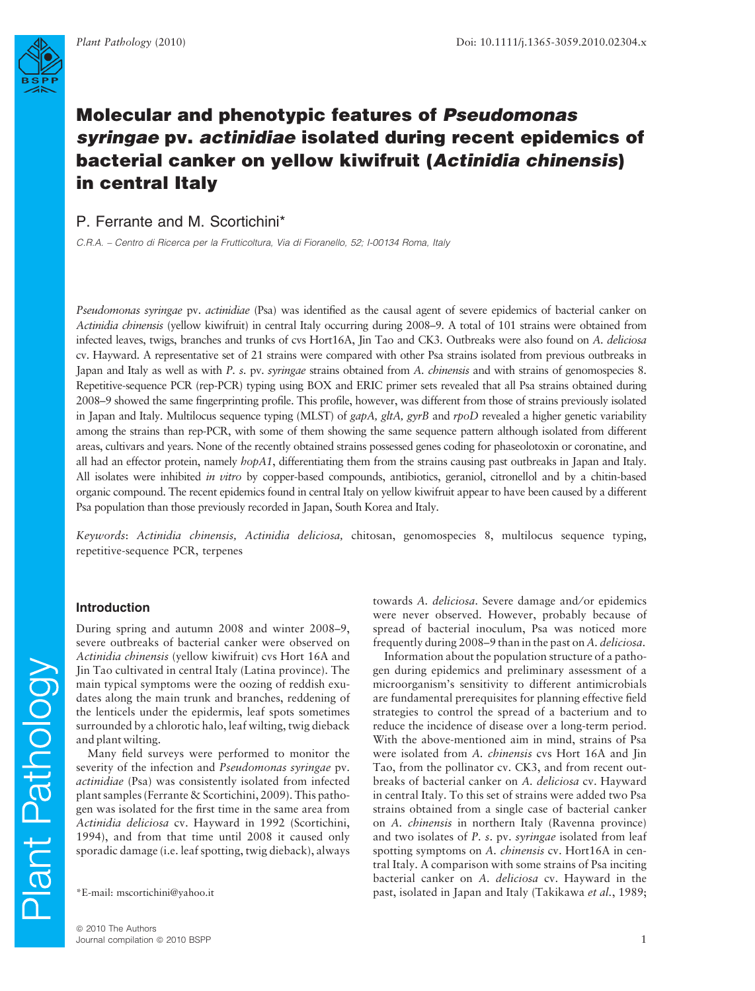

# P. Ferrante and M. Scortichini\*

C.R.A. – Centro di Ricerca per la Frutticoltura, Via di Fioranello, 52; I-00134 Roma, Italy

Pseudomonas syringae pv. actinidiae (Psa) was identified as the causal agent of severe epidemics of bacterial canker on Actinidia chinensis (yellow kiwifruit) in central Italy occurring during 2008–9. A total of 101 strains were obtained from infected leaves, twigs, branches and trunks of cvs Hort16A, Jin Tao and CK3. Outbreaks were also found on A. deliciosa cv. Hayward. A representative set of 21 strains were compared with other Psa strains isolated from previous outbreaks in Japan and Italy as well as with P. s. pv. syringae strains obtained from A. chinensis and with strains of genomospecies 8. Repetitive-sequence PCR (rep-PCR) typing using BOX and ERIC primer sets revealed that all Psa strains obtained during 2008–9 showed the same fingerprinting profile. This profile, however, was different from those of strains previously isolated in Japan and Italy. Multilocus sequence typing (MLST) of  $gapA$ ,  $g\natural A$ ,  $g\natural B$  and  $r\natural b$  revealed a higher genetic variability among the strains than rep-PCR, with some of them showing the same sequence pattern although isolated from different areas, cultivars and years. None of the recently obtained strains possessed genes coding for phaseolotoxin or coronatine, and all had an effector protein, namely  $hopA1$ , differentiating them from the strains causing past outbreaks in Japan and Italy. All isolates were inhibited in vitro by copper-based compounds, antibiotics, geraniol, citronellol and by a chitin-based organic compound. The recent epidemics found in central Italy on yellow kiwifruit appear to have been caused by a different Psa population than those previously recorded in Japan, South Korea and Italy.

Keywords: Actinidia chinensis, Actinidia deliciosa, chitosan, genomospecies 8, multilocus sequence typing, repetitive-sequence PCR, terpenes

## Introduction

During spring and autumn 2008 and winter 2008–9, severe outbreaks of bacterial canker were observed on Actinidia chinensis (yellow kiwifruit) cvs Hort 16A and Jin Tao cultivated in central Italy (Latina province). The main typical symptoms were the oozing of reddish exudates along the main trunk and branches, reddening of the lenticels under the epidermis, leaf spots sometimes surrounded by a chlorotic halo, leaf wilting, twig dieback and plant wilting.

Many field surveys were performed to monitor the severity of the infection and Pseudomonas syringae pv. actinidiae (Psa) was consistently isolated from infected plant samples (Ferrante & Scortichini, 2009). This pathogen was isolated for the first time in the same area from Actinidia deliciosa cv. Hayward in 1992 (Scortichini, 1994), and from that time until 2008 it caused only sporadic damage (i.e. leaf spotting, twig dieback), always

towards A. *deliciosa*. Severe damage and/or epidemics were never observed. However, probably because of spread of bacterial inoculum, Psa was noticed more frequently during 2008–9 than in the past on A. deliciosa.

Information about the population structure of a pathogen during epidemics and preliminary assessment of a microorganism's sensitivity to different antimicrobials are fundamental prerequisites for planning effective field strategies to control the spread of a bacterium and to reduce the incidence of disease over a long-term period. With the above-mentioned aim in mind, strains of Psa were isolated from A. chinensis cvs Hort 16A and Jin Tao, from the pollinator cv. CK3, and from recent outbreaks of bacterial canker on A. deliciosa cv. Hayward in central Italy. To this set of strains were added two Psa strains obtained from a single case of bacterial canker on A. chinensis in northern Italy (Ravenna province) and two isolates of P. s. pv. syringae isolated from leaf spotting symptoms on A. chinensis cv. Hort16A in central Italy. A comparison with some strains of Psa inciting bacterial canker on A. deliciosa cv. Hayward in the \*E-mail: mscortichini@yahoo.it past, isolated in Japan and Italy (Takikawa et al., 1989;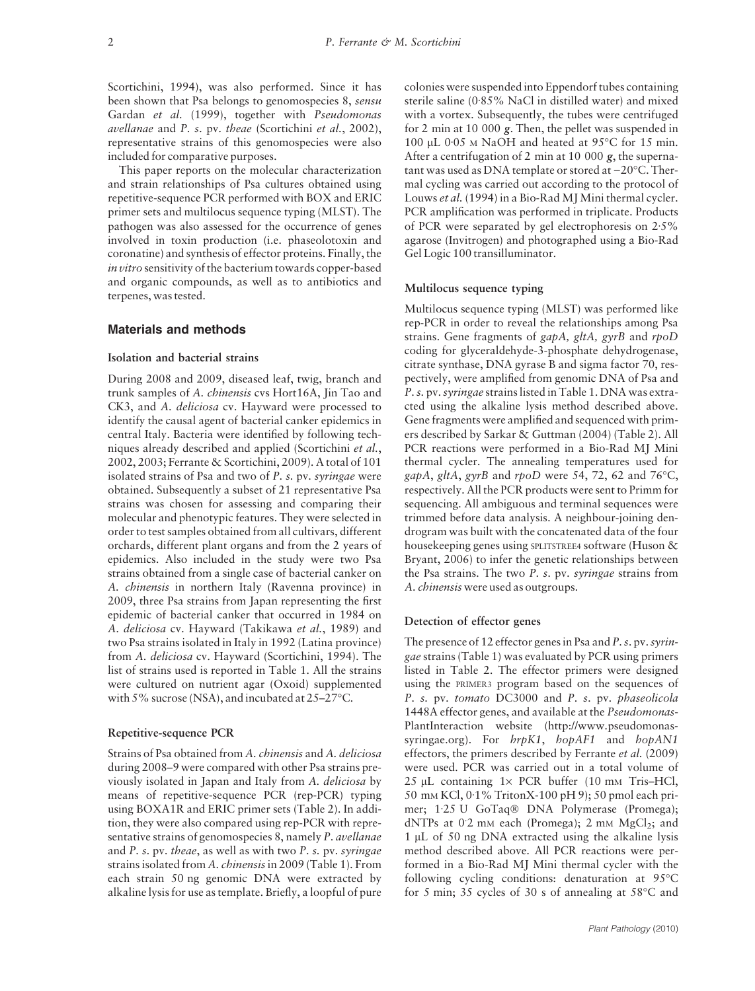Scortichini, 1994), was also performed. Since it has been shown that Psa belongs to genomospecies 8, sensu Gardan et al. (1999), together with Pseudomonas avellanae and P. s. pv. theae (Scortichini et al., 2002), representative strains of this genomospecies were also included for comparative purposes.

This paper reports on the molecular characterization and strain relationships of Psa cultures obtained using repetitive-sequence PCR performed with BOX and ERIC primer sets and multilocus sequence typing (MLST). The pathogen was also assessed for the occurrence of genes involved in toxin production (i.e. phaseolotoxin and coronatine) and synthesis of effector proteins. Finally, the in vitro sensitivity of the bacterium towards copper-based and organic compounds, as well as to antibiotics and terpenes, was tested.

### Materials and methods

## Isolation and bacterial strains

During 2008 and 2009, diseased leaf, twig, branch and trunk samples of A. chinensis cvs Hort16A, Jin Tao and CK3, and A. deliciosa cv. Hayward were processed to identify the causal agent of bacterial canker epidemics in central Italy. Bacteria were identified by following techniques already described and applied (Scortichini et al., 2002, 2003; Ferrante & Scortichini, 2009). A total of 101 isolated strains of Psa and two of P. s. pv. syringae were obtained. Subsequently a subset of 21 representative Psa strains was chosen for assessing and comparing their molecular and phenotypic features. They were selected in order to test samples obtained from all cultivars, different orchards, different plant organs and from the 2 years of epidemics. Also included in the study were two Psa strains obtained from a single case of bacterial canker on A. chinensis in northern Italy (Ravenna province) in 2009, three Psa strains from Japan representing the first epidemic of bacterial canker that occurred in 1984 on A. deliciosa cv. Hayward (Takikawa et al., 1989) and two Psa strains isolated in Italy in 1992 (Latina province) from A. deliciosa cv. Hayward (Scortichini, 1994). The list of strains used is reported in Table 1. All the strains were cultured on nutrient agar (Oxoid) supplemented with 5% sucrose (NSA), and incubated at 25–27°C.

#### Repetitive-sequence PCR

Strains of Psa obtained from A. chinensis and A. deliciosa during 2008–9 were compared with other Psa strains previously isolated in Japan and Italy from A. deliciosa by means of repetitive-sequence PCR (rep-PCR) typing using BOXA1R and ERIC primer sets (Table 2). In addition, they were also compared using rep-PCR with representative strains of genomospecies 8, namely P. avellanae and P. s. pv. theae, as well as with two P. s. pv. syringae strains isolated from A. chinensis in 2009 (Table 1). From each strain 50 ng genomic DNA were extracted by alkaline lysis for use as template. Briefly, a loopful of pure

colonies were suspended into Eppendorf tubes containing sterile saline ( $0.85\%$  NaCl in distilled water) and mixed with a vortex. Subsequently, the tubes were centrifuged for 2 min at 10 000 g. Then, the pellet was suspended in 100 µL 0 $\cdot$ 05 M NaOH and heated at 95 $\degree$ C for 15 min. After a centrifugation of 2 min at 10 000  $g$ , the supernatant was used as DNA template or stored at –20°C. Thermal cycling was carried out according to the protocol of Louws et al. (1994) in a Bio-Rad MJ Mini thermal cycler. PCR amplification was performed in triplicate. Products of PCR were separated by gel electrophoresis on  $2.5\%$ agarose (Invitrogen) and photographed using a Bio-Rad Gel Logic 100 transilluminator.

#### Multilocus sequence typing

Multilocus sequence typing (MLST) was performed like rep-PCR in order to reveal the relationships among Psa strains. Gene fragments of gapA, gltA, gyrB and rpoD coding for glyceraldehyde-3-phosphate dehydrogenase, citrate synthase, DNA gyrase B and sigma factor 70, respectively, were amplified from genomic DNA of Psa and P. s. pv.syringae strains listed in Table 1. DNA was extracted using the alkaline lysis method described above. Gene fragments were amplified and sequenced with primers described by Sarkar & Guttman (2004) (Table 2). All PCR reactions were performed in a Bio-Rad MJ Mini thermal cycler. The annealing temperatures used for *gapA, gltA, gyrB* and *rpoD* were 54, 72, 62 and 76°C, respectively. All the PCR products were sent to Primm for sequencing. All ambiguous and terminal sequences were trimmed before data analysis. A neighbour-joining dendrogram was built with the concatenated data of the four housekeeping genes using SPLITSTREE4 software (Huson & Bryant, 2006) to infer the genetic relationships between the Psa strains. The two P. s. pv. syringae strains from A. chinensis were used as outgroups.

## Detection of effector genes

The presence of 12 effector genes in Psa and  $P$ . s. pv. syringae strains (Table 1) was evaluated by PCR using primers listed in Table 2. The effector primers were designed using the PRIMER3 program based on the sequences of P. s. pv. tomato DC3000 and P. s. pv. phaseolicola 1448A effector genes, and available at the Pseudomonas-PlantInteraction website (http://www.pseudomonassyringae.org). For  $hrpK1$ ,  $hopAF1$  and  $hopAN1$ effectors, the primers described by Ferrante et al. (2009) were used. PCR was carried out in a total volume of  $25$  µL containing  $1 \times$  PCR buffer (10 mm Tris–HCl, 50 mm KCl, 0.1% TritonX-100 pH 9); 50 pmol each primer; 1.25 U GoTaq® DNA Polymerase (Promega); dNTPs at 0.2 mm each (Promega); 2 mm MgCl<sub>2</sub>; and  $1 \mu$ L of 50 ng DNA extracted using the alkaline lysis method described above. All PCR reactions were performed in a Bio-Rad MJ Mini thermal cycler with the following cycling conditions: denaturation at  $95^{\circ}$ C for 5 min; 35 cycles of 30 s of annealing at  $58^{\circ}$ C and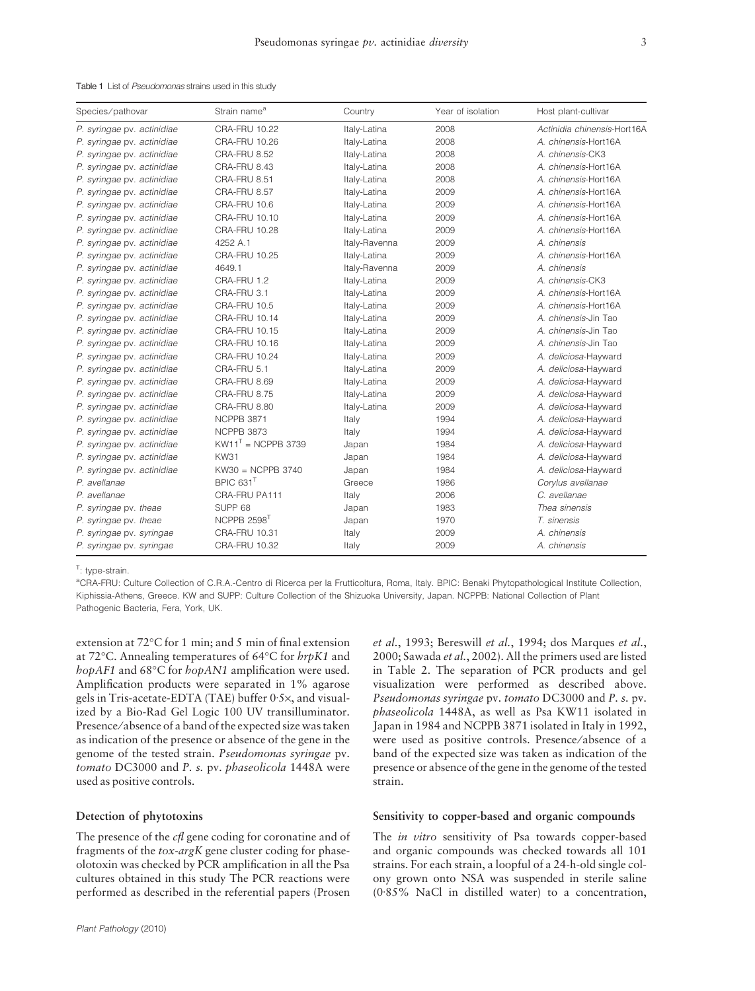| Species/pathovar           | Strain name <sup>a</sup>  | Country       | Year of isolation | Host plant-cultivar         |
|----------------------------|---------------------------|---------------|-------------------|-----------------------------|
| P. syringae pv. actinidiae | <b>CRA-FRU 10.22</b>      | Italy-Latina  | 2008              | Actinidia chinensis-Hort16A |
| P. syringae pv. actinidiae | <b>CRA-FRU 10.26</b>      | Italy-Latina  | 2008              | A. chinensis-Hort16A        |
| P. syringae pv. actinidiae | CRA-FRU 8.52              | Italy-Latina  | 2008              | A. chinensis-CK3            |
| P. syringae pv. actinidiae | CRA-FRU 8.43              | Italy-Latina  | 2008              | A. chinensis-Hort16A        |
| P. syringae pv. actinidiae | CRA-FRU 8.51              | Italy-Latina  | 2008              | A. chinensis-Hort16A        |
| P. syringae pv. actinidiae | CRA-FRU 8.57              | Italy-Latina  | 2009              | A. chinensis-Hort16A        |
| P. syringae pv. actinidiae | CRA-FRU 10.6              | Italy-Latina  | 2009              | A. chinensis-Hort16A        |
| P. syringae pv. actinidiae | CRA-FRU 10.10             | Italy-Latina  | 2009              | A. chinensis-Hort16A        |
| P. syringae pv. actinidiae | CRA-FRU 10.28             | Italy-Latina  | 2009              | A. chinensis-Hort16A        |
| P. syringae pv. actinidiae | 4252 A.1                  | Italy-Ravenna | 2009              | A. chinensis                |
| P. syringae pv. actinidiae | <b>CRA-FRU 10.25</b>      | Italy-Latina  | 2009              | A. chinensis-Hort16A        |
| P. syringae pv. actinidiae | 4649.1                    | Italy-Ravenna | 2009              | A. chinensis                |
| P. syringae pv. actinidiae | CRA-FRU 1.2               | Italy-Latina  | 2009              | A. chinensis-CK3            |
| P. syringae pv. actinidiae | CRA-FRU 3.1               | Italy-Latina  | 2009              | A. chinensis-Hort16A        |
| P. syringae pv. actinidiae | CRA-FRU 10.5              | Italy-Latina  | 2009              | A. chinensis-Hort16A        |
| P. syringae pv. actinidiae | <b>CRA-FRU 10.14</b>      | Italy-Latina  | 2009              | A. chinensis-Jin Tao        |
| P. syringae pv. actinidiae | <b>CRA-FRU 10.15</b>      | Italy-Latina  | 2009              | A. chinensis-Jin Tao        |
| P. syringae pv. actinidiae | CRA-FRU 10.16             | Italy-Latina  | 2009              | A. chinensis-Jin Tao        |
| P. syringae pv. actinidiae | CRA-FRU 10.24             | Italy-Latina  | 2009              | A. deliciosa-Hayward        |
| P. syringae pv. actinidiae | CRA-FRU 5.1               | Italy-Latina  | 2009              | A. deliciosa-Hayward        |
| P. syringae pv. actinidiae | CRA-FRU 8.69              | Italy-Latina  | 2009              | A. deliciosa-Hayward        |
| P. syringae pv. actinidiae | CRA-FRU 8.75              | Italy-Latina  | 2009              | A. deliciosa-Hayward        |
| P. syringae pv. actinidiae | CRA-FRU 8.80              | Italy-Latina  | 2009              | A. deliciosa-Hayward        |
| P. syringae pv. actinidiae | NCPPB 3871                | Italy         | 1994              | A. deliciosa-Hayward        |
| P. syringae pv. actinidiae | NCPPB 3873                | Italy         | 1994              | A. deliciosa-Hayward        |
| P. syringae pv. actinidiae | $KW11T$ = NCPPB 3739      | Japan         | 1984              | A. deliciosa-Hayward        |
| P. syringae pv. actinidiae | <b>KW31</b>               | Japan         | 1984              | A. deliciosa-Hayward        |
| P. syringae pv. actinidiae | KW30 = NCPPB 3740         | Japan         | 1984              | A. deliciosa-Hayward        |
| P. avellanae               | BPIC 631 <sup>T</sup>     | Greece        | 1986              | Corylus avellanae           |
| P. avellanae               | CRA-FRU PA111             | Italy         | 2006              | C. avellanae                |
| P. syringae pv. theae      | SUPP <sub>68</sub>        | Japan         | 1983              | Thea sinensis               |
| P. syringae pv. theae      | NCPPB $2598$ <sup>T</sup> | Japan         | 1970              | T. sinensis                 |
| P. syringae pv. syringae   | <b>CRA-FRU 10.31</b>      | Italy         | 2009              | A. chinensis                |
| P. syringae pv. syringae   | <b>CRA-FRU 10.32</b>      | Italy         | 2009              | A. chinensis                |

| Table 1 List of Pseudomonas strains used in this study |
|--------------------------------------------------------|
|--------------------------------------------------------|

<sup>T</sup>: type-strain.

a CRA-FRU: Culture Collection of C.R.A.-Centro di Ricerca per la Frutticoltura, Roma, Italy. BPIC: Benaki Phytopathological Institute Collection, Kiphissia-Athens, Greece. KW and SUPP: Culture Collection of the Shizuoka University, Japan. NCPPB: National Collection of Plant Pathogenic Bacteria, Fera, York, UK.

extension at 72°C for 1 min; and 5 min of final extension at 72°C. Annealing temperatures of 64°C for *hrpK1* and *hopAF1* and 68°C for *hopAN1* amplification were used. Amplification products were separated in 1% agarose gels in Tris-acetate-EDTA (TAE) buffer 0.5x, and visualized by a Bio-Rad Gel Logic 100 UV transilluminator. Presence ⁄ absence of a band of the expected size was taken as indication of the presence or absence of the gene in the genome of the tested strain. Pseudomonas syringae pv. tomato DC3000 and P. s. pv. phaseolicola 1448A were used as positive controls.

### Detection of phytotoxins

The presence of the *cfl* gene coding for coronatine and of fragments of the tox-argK gene cluster coding for phaseolotoxin was checked by PCR amplification in all the Psa cultures obtained in this study The PCR reactions were performed as described in the referential papers (Prosen

et al., 1993; Bereswill et al., 1994; dos Marques et al., 2000; Sawada et al., 2002). All the primers used are listed in Table 2. The separation of PCR products and gel visualization were performed as described above. Pseudomonas syringae pv. tomato DC3000 and P. s. pv. phaseolicola 1448A, as well as Psa KW11 isolated in Japan in 1984 and NCPPB 3871 isolated in Italy in 1992, were used as positive controls. Presence/absence of a band of the expected size was taken as indication of the presence or absence of the gene in the genome of the tested strain.

## Sensitivity to copper-based and organic compounds

The in vitro sensitivity of Psa towards copper-based and organic compounds was checked towards all 101 strains. For each strain, a loopful of a 24-h-old single colony grown onto NSA was suspended in sterile saline  $(0.85\%$  NaCl in distilled water) to a concentration,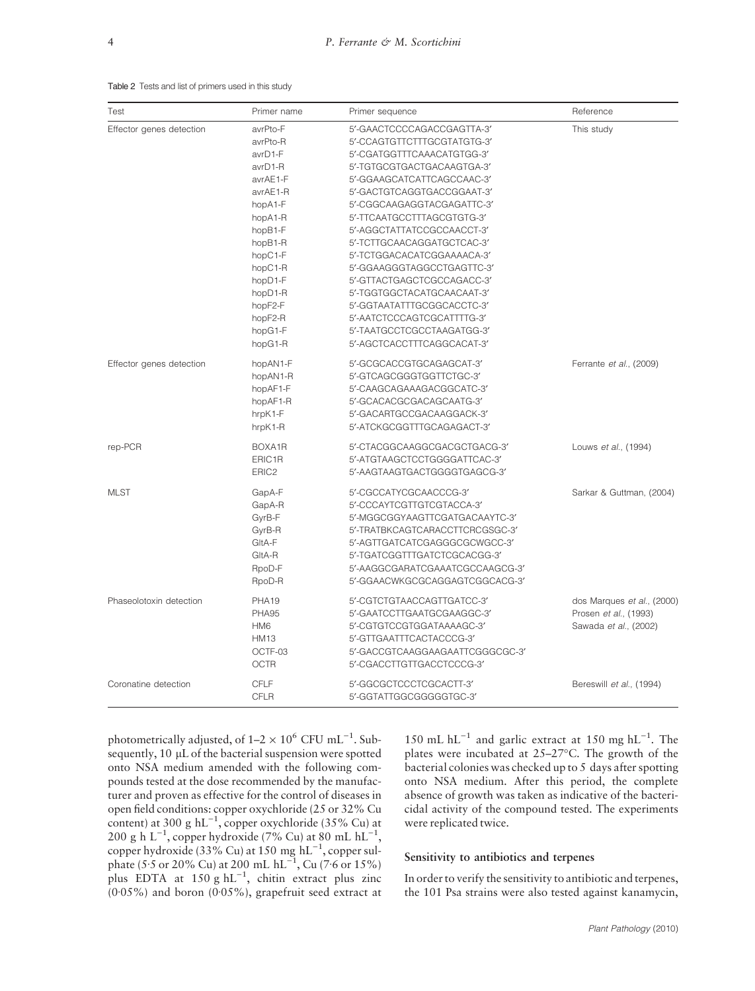#### Table 2 Tests and list of primers used in this study

| Test                     | Primer name       | Primer sequence                 | Reference                  |
|--------------------------|-------------------|---------------------------------|----------------------------|
| Effector genes detection | avrPto-F          | 5'-GAACTCCCCAGACCGAGTTA-3'      | This study                 |
|                          | avrPto-R          | 5'-CCAGTGTTCTTTGCGTATGTG-3'     |                            |
|                          | avrD1-F           | 5'-CGATGGTTTCAAACATGTGG-3'      |                            |
|                          | avrD1-R           | 5'-TGTGCGTGACTGACAAGTGA-3'      |                            |
|                          | avrAE1-F          | 5'-GGAAGCATCATTCAGCCAAC-3'      |                            |
|                          | avrAE1-R          | 5'-GACTGTCAGGTGACCGGAAT-3'      |                            |
|                          | hopA1-F           | 5'-CGGCAAGAGGTACGAGATTC-3'      |                            |
|                          | hopA1-R           | 5'-TTCAATGCCTTTAGCGTGTG-3'      |                            |
|                          | hopB1-F           | 5'-AGGCTATTATCCGCCAACCT-3'      |                            |
|                          | hopB1-R           | 5'-TCTTGCAACAGGATGCTCAC-3'      |                            |
|                          | hopC1-F           | 5'-TCTGGACACATCGGAAAACA-3'      |                            |
|                          | hopC1-R           | 5'-GGAAGGGTAGGCCTGAGTTC-3'      |                            |
|                          | hopD1-F           | 5'-GTTACTGAGCTCGCCAGACC-3'      |                            |
|                          | hopD1-R           | 5'-TGGTGGCTACATGCAACAAT-3'      |                            |
|                          | hopF2-F           | 5'-GGTAATATTTGCGGCACCTC-3'      |                            |
|                          | hopF2-R           | 5'-AATCTCCCAGTCGCATTTTG-3'      |                            |
|                          | hopG1-F           | 5'-TAATGCCTCGCCTAAGATGG-3'      |                            |
|                          | hopG1-R           | 5'-AGCTCACCTTTCAGGCACAT-3'      |                            |
| Effector genes detection | hopAN1-F          | 5'-GCGCACCGTGCAGAGCAT-3'        | Ferrante et al., (2009)    |
|                          | hopAN1-R          | 5'-GTCAGCGGGTGGTTCTGC-3'        |                            |
|                          | hopAF1-F          | 5'-CAAGCAGAAAGACGGCATC-3'       |                            |
|                          | hopAF1-R          | 5'-GCACACGCGACAGCAATG-3'        |                            |
|                          | hrpK1-F           | 5'-GACARTGCCGACAAGGACK-3'       |                            |
|                          | hrpK1-R           | 5'-ATCKGCGGTTTGCAGAGACT-3'      |                            |
| rep-PCR                  | BOXA1R            | 5'-CTACGGCAAGGCGACGCTGACG-3'    | Louws et al., (1994)       |
|                          | ERIC1R            | 5'-ATGTAAGCTCCTGGGGATTCAC-3'    |                            |
|                          | ERIC <sub>2</sub> | 5'-AAGTAAGTGACTGGGGTGAGCG-3'    |                            |
| <b>MLST</b>              | GapA-F            | 5'-CGCCATYCGCAACCCG-3'          | Sarkar & Guttman, (2004)   |
|                          | GapA-R            | 5'-CCCAYTCGTTGTCGTACCA-3'       |                            |
|                          | GyrB-F            | 5'-MGGCGGYAAGTTCGATGACAAYTC-3'  |                            |
|                          | GyrB-R            | 5'-TRATBKCAGTCARACCTTCRCGSGC-3' |                            |
|                          | GItA-F            | 5'-AGTTGATCATCGAGGGCGCWGCC-3'   |                            |
|                          | GItA-R            | 5'-TGATCGGTTTGATCTCGCACGG-3'    |                            |
|                          | RpoD-F            | 5'-AAGGCGARATCGAAATCGCCAAGCG-3' |                            |
|                          | RpoD-R            | 5'-GGAACWKGCGCAGGAGTCGGCACG-3'  |                            |
| Phaseolotoxin detection  | PHA <sub>19</sub> | 5'-CGTCTGTAACCAGTTGATCC-3'      | dos Marques et al., (2000) |
|                          | PHA95             | 5'-GAATCCTTGAATGCGAAGGC-3'      | Prosen et al., (1993)      |
|                          | HM <sub>6</sub>   | 5'-CGTGTCCGTGGATAAAAGC-3'       | Sawada et al., (2002)      |
|                          | <b>HM13</b>       | 5'-GTTGAATTTCACTACCCG-3'        |                            |
|                          | OCTF-03           | 5'-GACCGTCAAGGAAGAATTCGGGCGC-3' |                            |
|                          | <b>OCTR</b>       | 5'-CGACCTTGTTGACCTCCCG-3'       |                            |
| Coronatine detection     | <b>CFLF</b>       | 5'-GGCGCTCCCTCGCACTT-3'         | Bereswill et al., (1994)   |
|                          | <b>CFLR</b>       | 5'-GGTATTGGCGGGGGTGC-3'         |                            |

photometrically adjusted, of  $1-2 \times 10^6$  CFU mL<sup>-1</sup>. Subsequently, 10 µL of the bacterial suspension were spotted onto NSA medium amended with the following compounds tested at the dose recommended by the manufacturer and proven as effective for the control of diseases in open field conditions: copper oxychloride (25 or 32% Cu content) at 300 g  $hL^{-1}$ , copper oxychloride (35% Cu) at 200 g h L<sup>-1</sup>, copper hydroxide (7% Cu) at 80 mL hL<sup>-1</sup>, copper hydroxide (33% Cu) at 150 mg  $hL^{-1}$ , copper sulphate (5.5 or 20% Cu) at 200 mL  $hL^{-1}$ , Cu (7.6 or 15%) plus EDTA at  $150 \text{ g hL}^{-1}$ , chitin extract plus zinc  $(0.05\%)$  and boron  $(0.05\%)$ , grapefruit seed extract at

150 mL  $hL^{-1}$  and garlic extract at 150 mg  $hL^{-1}$ . The plates were incubated at  $25-27$ °C. The growth of the bacterial colonies was checked up to 5 days after spotting onto NSA medium. After this period, the complete absence of growth was taken as indicative of the bactericidal activity of the compound tested. The experiments were replicated twice.

### Sensitivity to antibiotics and terpenes

In order to verify the sensitivity to antibiotic and terpenes, the 101 Psa strains were also tested against kanamycin,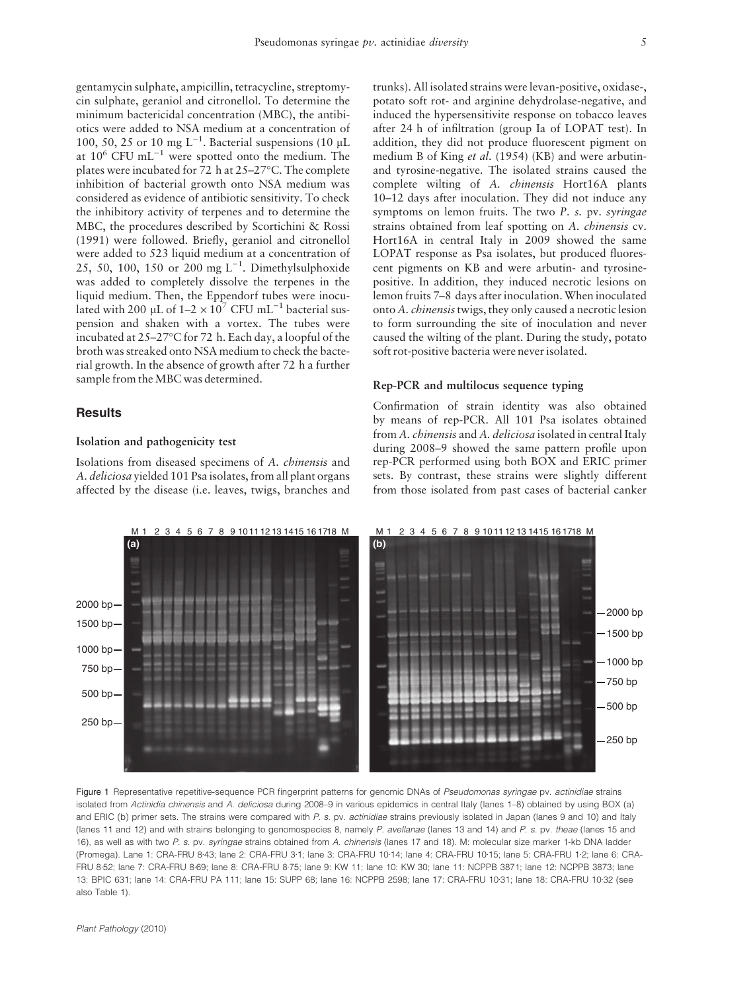gentamycin sulphate, ampicillin, tetracycline, streptomycin sulphate, geraniol and citronellol. To determine the minimum bactericidal concentration (MBC), the antibiotics were added to NSA medium at a concentration of 100, 50, 25 or 10 mg  $L^{-1}$ . Bacterial suspensions (10 µL at  $10^6$  CFU mL<sup>-1</sup> were spotted onto the medium. The plates were incubated for 72 h at 25–27°C. The complete inhibition of bacterial growth onto NSA medium was considered as evidence of antibiotic sensitivity. To check the inhibitory activity of terpenes and to determine the MBC, the procedures described by Scortichini & Rossi (1991) were followed. Briefly, geraniol and citronellol were added to 523 liquid medium at a concentration of 25, 50, 100, 150 or 200 mg  $L^{-1}$ . Dimethylsulphoxide was added to completely dissolve the terpenes in the liquid medium. Then, the Eppendorf tubes were inoculated with 200 µL of  $1-2 \times 10^7$  CFU mL<sup>-1</sup> bacterial suspension and shaken with a vortex. The tubes were incubated at 25–27°C for 72 h. Each day, a loopful of the broth was streaked onto NSA medium to check the bacterial growth. In the absence of growth after 72 h a further sample from the MBC was determined.

## **Results**

#### Isolation and pathogenicity test

Isolations from diseased specimens of A. chinensis and A. deliciosa yielded 101 Psa isolates, from all plant organs affected by the disease (i.e. leaves, twigs, branches and trunks). All isolated strains were levan-positive, oxidase-, potato soft rot- and arginine dehydrolase-negative, and induced the hypersensitivite response on tobacco leaves after 24 h of infiltration (group Ia of LOPAT test). In addition, they did not produce fluorescent pigment on medium B of King et al. (1954) (KB) and were arbutinand tyrosine-negative. The isolated strains caused the complete wilting of A. chinensis Hort16A plants 10–12 days after inoculation. They did not induce any symptoms on lemon fruits. The two P. s. pv. syringae strains obtained from leaf spotting on A. chinensis cv. Hort16A in central Italy in 2009 showed the same LOPAT response as Psa isolates, but produced fluorescent pigments on KB and were arbutin- and tyrosinepositive. In addition, they induced necrotic lesions on lemon fruits 7–8 days after inoculation. When inoculated onto A. chinensistwigs, they only caused a necrotic lesion to form surrounding the site of inoculation and never caused the wilting of the plant. During the study, potato soft rot-positive bacteria were never isolated.

#### Rep-PCR and multilocus sequence typing

Confirmation of strain identity was also obtained by means of rep-PCR. All 101 Psa isolates obtained from A. chinensis and A. deliciosa isolated in central Italy during 2008–9 showed the same pattern profile upon rep-PCR performed using both BOX and ERIC primer sets. By contrast, these strains were slightly different from those isolated from past cases of bacterial canker



Figure 1 Representative repetitive-sequence PCR fingerprint patterns for genomic DNAs of Pseudomonas syringae pv. actinidiae strains isolated from Actinidia chinensis and A. deliciosa during 2008–9 in various epidemics in central Italy (lanes 1–8) obtained by using BOX (a) and ERIC (b) primer sets. The strains were compared with P. s. pv. actinidiae strains previously isolated in Japan (lanes 9 and 10) and Italy (lanes 11 and 12) and with strains belonging to genomospecies 8, namely P. avellanae (lanes 13 and 14) and P. s. pv. theae (lanes 15 and 16), as well as with two P. s. pv. syringae strains obtained from A. chinensis (lanes 17 and 18). M: molecular size marker 1-kb DNA ladder (Promega). Lane 1: CRA-FRU 8-43; lane 2: CRA-FRU 3-1; lane 3: CRA-FRU 10-14; lane 4: CRA-FRU 10-15; lane 5: CRA-FRU 1-2; lane 6: CRA-FRU 8-52; lane 7: CRA-FRU 8-69; lane 8: CRA-FRU 8-75; lane 9: KW 11; lane 10: KW 30; lane 11: NCPPB 3871; lane 12: NCPPB 3873; lane 13: BPIC 631; lane 14: CRA-FRU PA 111; lane 15: SUPP 68; lane 16: NCPPB 2598; lane 17: CRA-FRU 10-31; lane 18; CRA-FRU 10-32 (see also Table 1).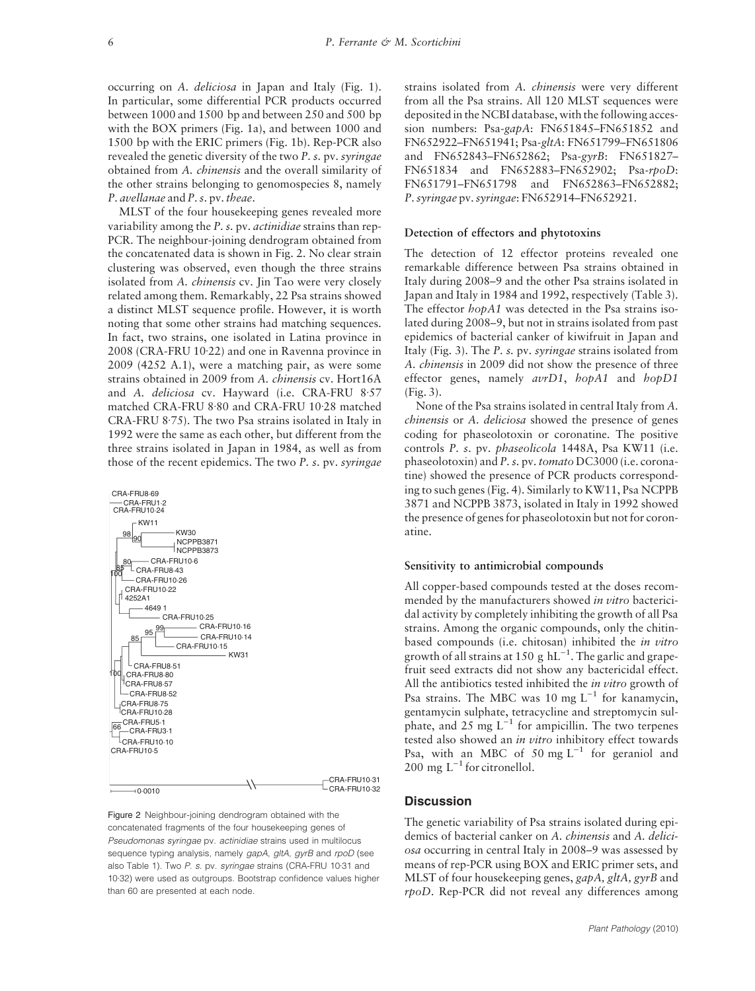occurring on A. deliciosa in Japan and Italy (Fig. 1). In particular, some differential PCR products occurred between 1000 and 1500 bp and between 250 and 500 bp with the BOX primers (Fig. 1a), and between 1000 and 1500 bp with the ERIC primers (Fig. 1b). Rep-PCR also revealed the genetic diversity of the two P. s. pv. syringae obtained from A. chinensis and the overall similarity of the other strains belonging to genomospecies 8, namely P. avellanae and P. s. pv. theae.

MLST of the four housekeeping genes revealed more variability among the P. s. pv. *actinidiae* strains than rep-PCR. The neighbour-joining dendrogram obtained from the concatenated data is shown in Fig. 2. No clear strain clustering was observed, even though the three strains isolated from A. *chinensis* cv. Jin Tao were very closely related among them. Remarkably, 22 Psa strains showed a distinct MLST sequence profile. However, it is worth noting that some other strains had matching sequences. In fact, two strains, one isolated in Latina province in 2008 (CRA-FRU 10.22) and one in Ravenna province in 2009 (4252 A.1), were a matching pair, as were some strains obtained in 2009 from A. chinensis cv. Hort16A and A. deliciosa cv. Hayward (i.e. CRA-FRU 8.57 matched CRA-FRU 8.80 and CRA-FRU 10.28 matched  $CRA$ -FRU 8.75). The two Psa strains isolated in Italy in 1992 were the same as each other, but different from the three strains isolated in Japan in 1984, as well as from those of the recent epidemics. The two P. s. pv. syringae



Figure 2 Neighbour-joining dendrogram obtained with the concatenated fragments of the four housekeeping genes of Pseudomonas syringae pv. actinidiae strains used in multilocus sequence typing analysis, namely gapA, gltA, gyrB and rpoD (see also Table 1). Two P. s. pv. syringae strains (CRA-FRU 10-31 and 10.32) were used as outgroups. Bootstrap confidence values higher than 60 are presented at each node.

strains isolated from A. chinensis were very different from all the Psa strains. All 120 MLST sequences were deposited in the NCBI database, with the following accession numbers: Psa-gapA: FN651845–FN651852 and FN652922–FN651941; Psa-gltA: FN651799–FN651806 and FN652843–FN652862; Psa-gyrB: FN651827– FN651834 and FN652883–FN652902; Psa-rpoD: FN651791–FN651798 and FN652863–FN652882; P. syringae pv.syringae: FN652914–FN652921.

### Detection of effectors and phytotoxins

The detection of 12 effector proteins revealed one remarkable difference between Psa strains obtained in Italy during 2008–9 and the other Psa strains isolated in Japan and Italy in 1984 and 1992, respectively (Table 3). The effector  $h \circ \rho A1$  was detected in the Psa strains isolated during 2008–9, but not in strains isolated from past epidemics of bacterial canker of kiwifruit in Japan and Italy (Fig. 3). The P. s. pv. syringae strains isolated from A. chinensis in 2009 did not show the presence of three effector genes, namely  $avrD1$ ,  $hopA1$  and  $hopD1$ (Fig. 3).

None of the Psa strains isolated in central Italy from A. chinensis or A. deliciosa showed the presence of genes coding for phaseolotoxin or coronatine. The positive controls P. s. pv. phaseolicola 1448A, Psa KW11 (i.e. phaseolotoxin) and P. s. pv. tomato DC3000 (i.e. coronatine) showed the presence of PCR products corresponding to such genes (Fig. 4). Similarly to KW11, Psa NCPPB 3871 and NCPPB 3873, isolated in Italy in 1992 showed the presence of genes for phaseolotoxin but not for coronatine.

#### Sensitivity to antimicrobial compounds

All copper-based compounds tested at the doses recommended by the manufacturers showed in vitro bactericidal activity by completely inhibiting the growth of all Psa strains. Among the organic compounds, only the chitinbased compounds (i.e. chitosan) inhibited the in vitro growth of all strains at 150 g  $hL^{-1}$ . The garlic and grapefruit seed extracts did not show any bactericidal effect. All the antibiotics tested inhibited the *in vitro* growth of Psa strains. The MBC was 10 mg  $L^{-1}$  for kanamycin, gentamycin sulphate, tetracycline and streptomycin sulphate, and  $25 \text{ mg } L^{-1}$  for ampicillin. The two terpenes tested also showed an in vitro inhibitory effect towards Psa, with an MBC of 50 mg  $L^{-1}$  for geraniol and 200 mg  $L^{-1}$  for citronellol.

#### **Discussion**

The genetic variability of Psa strains isolated during epidemics of bacterial canker on A. chinensis and A. deliciosa occurring in central Italy in 2008–9 was assessed by means of rep-PCR using BOX and ERIC primer sets, and MLST of four housekeeping genes, gapA, gltA, gyrB and rpoD. Rep-PCR did not reveal any differences among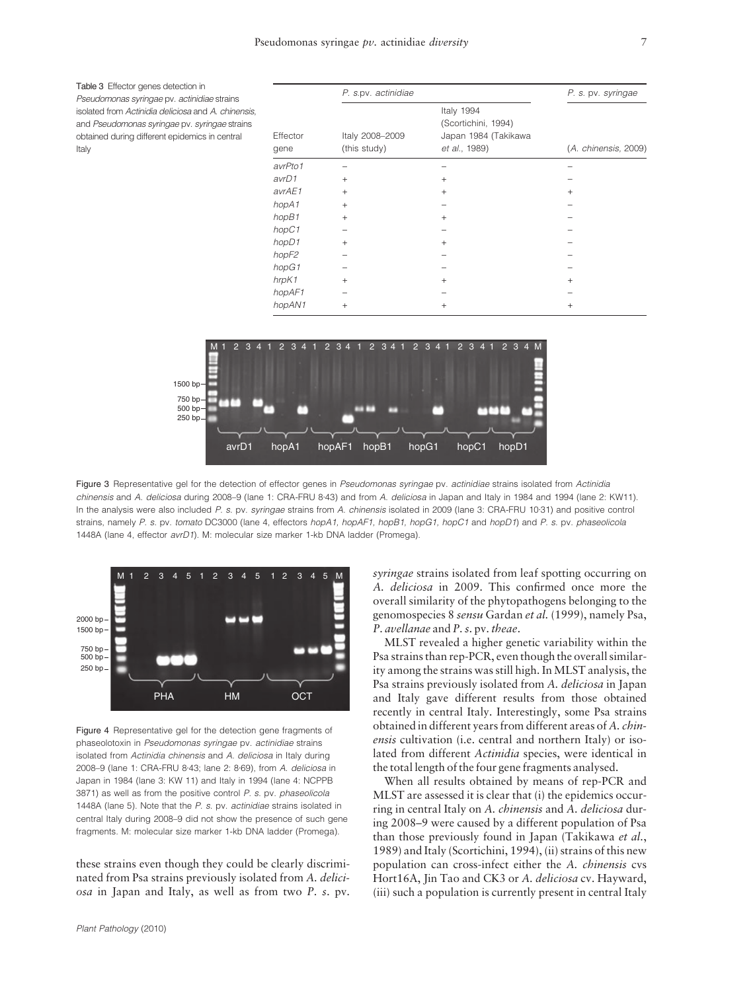Table 3 Effector genes detection in Pseudomonas syringae pv. actinidiae strains isolated from Actinidia deliciosa and A. chinensis, and Pseudomonas syringae pv. syringae strains obtained during different epidemics in central Italy

|                   | P. s.pv. actinidiae             |                                                                            |                      |
|-------------------|---------------------------------|----------------------------------------------------------------------------|----------------------|
| Effector<br>gene  | Italy 2008-2009<br>(this study) | Italy 1994<br>(Scortichini, 1994)<br>Japan 1984 (Takikawa<br>et al., 1989) | (A. chinensis, 2009) |
| avrPto1           |                                 |                                                                            |                      |
| avrD1             | $\ddot{}$                       | $^{+}$                                                                     |                      |
| avrAE1            | $+$                             | $^{+}$                                                                     | $^{+}$               |
| hopA1             | $+$                             |                                                                            |                      |
| hopB1             | $+$                             | $^{+}$                                                                     |                      |
| hopC1             |                                 |                                                                            |                      |
| hopD1             | $+$                             | $^{+}$                                                                     |                      |
| hopF <sub>2</sub> |                                 |                                                                            |                      |
| hopG1             |                                 |                                                                            |                      |
| hrpK1             | $+$                             | $^{+}$                                                                     | $^{+}$               |
| hopAF1            |                                 |                                                                            |                      |
| hopAN1            | $+$                             | $^{+}$                                                                     | $^{+}$               |



Figure 3 Representative gel for the detection of effector genes in Pseudomonas syringae pv. actinidiae strains isolated from Actinidia chinensis and A. deliciosa during 2008–9 (lane 1: CRA-FRU 8-43) and from A. deliciosa in Japan and Italy in 1984 and 1994 (lane 2: KW11). In the analysis were also included P. s. pv. syringae strains from A. chinensis isolated in 2009 (lane 3: CRA-FRU 10.31) and positive control strains, namely P. s. pv. tomato DC3000 (lane 4, effectors hopA1, hopAF1, hopB1, hopG1, hopC1 and hopD1) and P. s. pv. phaseolicola 1448A (lane 4, effector avrD1). M: molecular size marker 1-kb DNA ladder (Promega).



Figure 4 Representative gel for the detection gene fragments of phaseolotoxin in Pseudomonas syringae pv. actinidiae strains isolated from Actinidia chinensis and A. deliciosa in Italy during 2008-9 (lane 1: CRA-FRU 8.43; lane 2: 8.69), from A. deliciosa in Japan in 1984 (lane 3: KW 11) and Italy in 1994 (lane 4: NCPPB 3871) as well as from the positive control P. s. pv. phaseolicola 1448A (lane 5). Note that the P. s. pv. actinidiae strains isolated in central Italy during 2008–9 did not show the presence of such gene fragments. M: molecular size marker 1-kb DNA ladder (Promega).

these strains even though they could be clearly discriminated from Psa strains previously isolated from A. deliciosa in Japan and Italy, as well as from two P. s. pv. syringae strains isolated from leaf spotting occurring on A. deliciosa in 2009. This confirmed once more the overall similarity of the phytopathogens belonging to the genomospecies 8 sensu Gardan et al. (1999), namely Psa, P. avellanae and P. s. pv. theae.

MLST revealed a higher genetic variability within the Psa strains than rep-PCR, even though the overall similarity among the strains was still high. In MLST analysis, the Psa strains previously isolated from A. deliciosa in Japan and Italy gave different results from those obtained recently in central Italy. Interestingly, some Psa strains obtained in different years from different areas of A. chinensis cultivation (i.e. central and northern Italy) or isolated from different Actinidia species, were identical in the total length of the four gene fragments analysed.

When all results obtained by means of rep-PCR and MLST are assessed it is clear that (i) the epidemics occurring in central Italy on A. chinensis and A. deliciosa during 2008–9 were caused by a different population of Psa than those previously found in Japan (Takikawa et al., 1989) and Italy (Scortichini, 1994), (ii) strains of this new population can cross-infect either the A. chinensis cvs Hort16A, Jin Tao and CK3 or A. deliciosa cv. Hayward, (iii) such a population is currently present in central Italy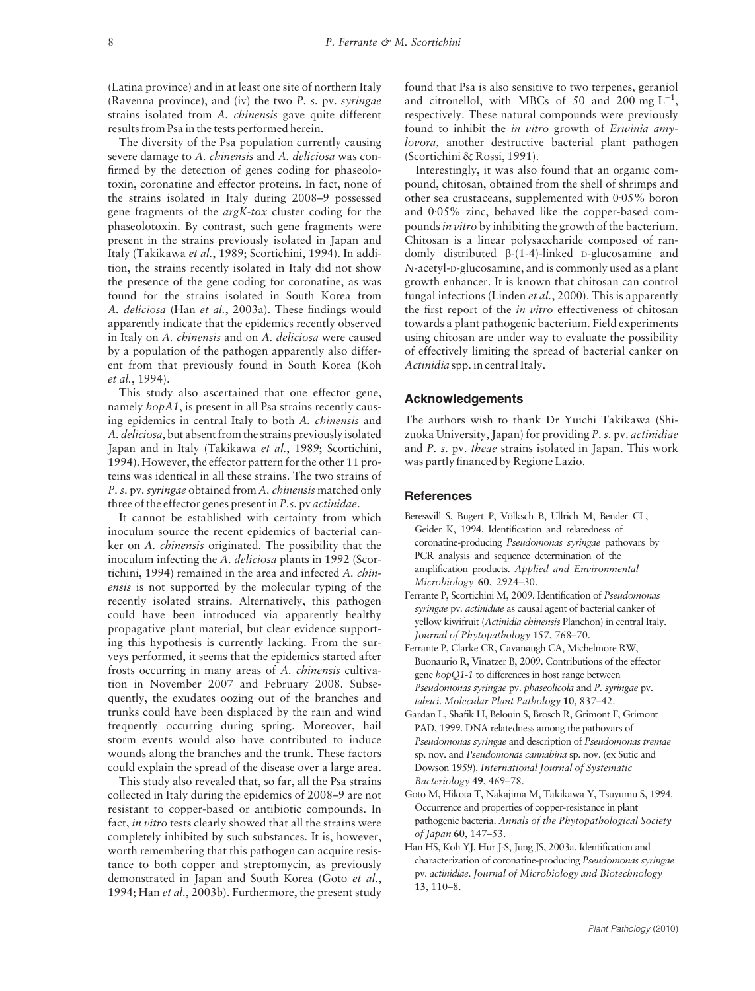(Latina province) and in at least one site of northern Italy (Ravenna province), and (iv) the two P. s. pv. syringae strains isolated from A. *chinensis* gave quite different results from Psa in the tests performed herein.

The diversity of the Psa population currently causing severe damage to A. chinensis and A. deliciosa was confirmed by the detection of genes coding for phaseolotoxin, coronatine and effector proteins. In fact, none of the strains isolated in Italy during 2008–9 possessed gene fragments of the argK-tox cluster coding for the phaseolotoxin. By contrast, such gene fragments were present in the strains previously isolated in Japan and Italy (Takikawa et al., 1989; Scortichini, 1994). In addition, the strains recently isolated in Italy did not show the presence of the gene coding for coronatine, as was found for the strains isolated in South Korea from A. deliciosa (Han et al., 2003a). These findings would apparently indicate that the epidemics recently observed in Italy on A. chinensis and on A. deliciosa were caused by a population of the pathogen apparently also different from that previously found in South Korea (Koh et al., 1994).

This study also ascertained that one effector gene, namely hopA1, is present in all Psa strains recently causing epidemics in central Italy to both A. chinensis and A. deliciosa, but absent from the strains previously isolated Japan and in Italy (Takikawa et al., 1989; Scortichini, 1994). However, the effector pattern for the other 11 proteins was identical in all these strains. The two strains of P. s. pv. syringae obtained from A. chinensis matched only three of the effector genes present in P.s. pv actinidae.

It cannot be established with certainty from which inoculum source the recent epidemics of bacterial canker on A. chinensis originated. The possibility that the inoculum infecting the A. deliciosa plants in 1992 (Scortichini, 1994) remained in the area and infected A. chinensis is not supported by the molecular typing of the recently isolated strains. Alternatively, this pathogen could have been introduced via apparently healthy propagative plant material, but clear evidence supporting this hypothesis is currently lacking. From the surveys performed, it seems that the epidemics started after frosts occurring in many areas of A. chinensis cultivation in November 2007 and February 2008. Subsequently, the exudates oozing out of the branches and trunks could have been displaced by the rain and wind frequently occurring during spring. Moreover, hail storm events would also have contributed to induce wounds along the branches and the trunk. These factors could explain the spread of the disease over a large area.

This study also revealed that, so far, all the Psa strains collected in Italy during the epidemics of 2008–9 are not resistant to copper-based or antibiotic compounds. In fact, in vitro tests clearly showed that all the strains were completely inhibited by such substances. It is, however, worth remembering that this pathogen can acquire resistance to both copper and streptomycin, as previously demonstrated in Japan and South Korea (Goto et al., 1994; Han et al., 2003b). Furthermore, the present study found that Psa is also sensitive to two terpenes, geraniol and citronellol, with MBCs of 50 and 200 mg  $L^{-1}$ , respectively. These natural compounds were previously found to inhibit the in vitro growth of Erwinia amylovora, another destructive bacterial plant pathogen (Scortichini & Rossi, 1991).

Interestingly, it was also found that an organic compound, chitosan, obtained from the shell of shrimps and other sea crustaceans, supplemented with  $0.05\%$  boron and  $0.05\%$  zinc, behaved like the copper-based compounds in vitro by inhibiting the growth of the bacterium. Chitosan is a linear polysaccharide composed of randomly distributed b-(1-4)-linked D-glucosamine and N-acetyl-D-glucosamine, and is commonly used as a plant growth enhancer. It is known that chitosan can control fungal infections (Linden et al., 2000). This is apparently the first report of the *in vitro* effectiveness of chitosan towards a plant pathogenic bacterium. Field experiments using chitosan are under way to evaluate the possibility of effectively limiting the spread of bacterial canker on Actinidia spp. in central Italy.

### Acknowledgements

The authors wish to thank Dr Yuichi Takikawa (Shizuoka University, Japan) for providing P. s. pv. actinidiae and P. s. pv. theae strains isolated in Japan. This work was partly financed by Regione Lazio.

## **References**

- Bereswill S, Bugert P, Völksch B, Ullrich M, Bender CL, Geider K, 1994. Identification and relatedness of coronatine-producing Pseudomonas syringae pathovars by PCR analysis and sequence determination of the amplification products. Applied and Environmental Microbiology 60, 2924–30.
- Ferrante P, Scortichini M, 2009. Identification of Pseudomonas syringae pv. actinidiae as causal agent of bacterial canker of yellow kiwifruit (Actinidia chinensis Planchon) in central Italy. Journal of Phytopathology 157, 768–70.
- Ferrante P, Clarke CR, Cavanaugh CA, Michelmore RW, Buonaurio R, Vinatzer B, 2009. Contributions of the effector gene hopQ1-1 to differences in host range between Pseudomonas syringae pv. phaseolicola and P. syringae pv. tabaci. Molecular Plant Pathology 10, 837–42.
- Gardan L, Shafik H, Belouin S, Brosch R, Grimont F, Grimont PAD, 1999. DNA relatedness among the pathovars of Pseudomonas syringae and description of Pseudomonas tremae sp. nov. and Pseudomonas cannabina sp. nov. (ex Sutic and Dowson 1959). International Journal of Systematic Bacteriology 49, 469–78.
- Goto M, Hikota T, Nakajima M, Takikawa Y, Tsuyumu S, 1994. Occurrence and properties of copper-resistance in plant pathogenic bacteria. Annals of the Phytopathological Society of Japan 60, 147–53.
- Han HS, Koh YJ, Hur J-S, Jung JS, 2003a. Identification and characterization of coronatine-producing Pseudomonas syringae pv. actinidiae. Journal of Microbiology and Biotechnology 13, 110–8.